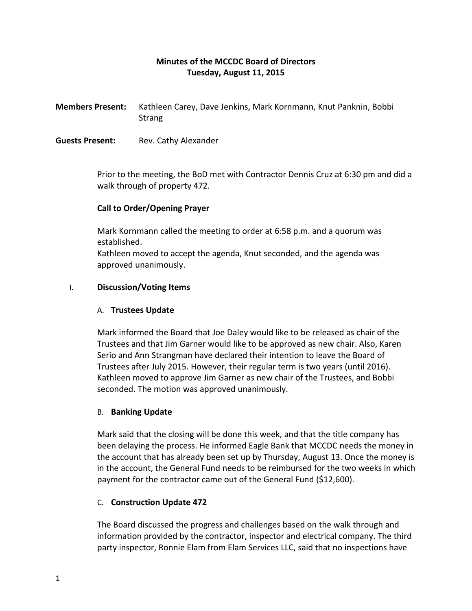# **Minutes of the MCCDC Board of Directors Tuesday, August 11, 2015**

**Members Present:** Kathleen Carey, Dave Jenkins, Mark Kornmann, Knut Panknin, Bobbi **Strang** 

**Guests Present:** Rev. Cathy Alexander

Prior to the meeting, the BoD met with Contractor Dennis Cruz at 6:30 pm and did a walk through of property 472.

## **Call to Order/Opening Prayer**

Mark Kornmann called the meeting to order at 6:58 p.m. and a quorum was established.

Kathleen moved to accept the agenda, Knut seconded, and the agenda was approved unanimously.

#### I. **Discussion/Voting Items**

### A. **Trustees Update**

Mark informed the Board that Joe Daley would like to be released as chair of the Trustees and that Jim Garner would like to be approved as new chair. Also, Karen Serio and Ann Strangman have declared their intention to leave the Board of Trustees after July 2015. However, their regular term is two years (until 2016). Kathleen moved to approve Jim Garner as new chair of the Trustees, and Bobbi seconded. The motion was approved unanimously.

#### B. **Banking Update**

Mark said that the closing will be done this week, and that the title company has been delaying the process. He informed Eagle Bank that MCCDC needs the money in the account that has already been set up by Thursday, August 13. Once the money is in the account, the General Fund needs to be reimbursed for the two weeks in which payment for the contractor came out of the General Fund (\$12,600).

## C. **Construction Update 472**

The Board discussed the progress and challenges based on the walk through and information provided by the contractor, inspector and electrical company. The third party inspector, Ronnie Elam from Elam Services LLC, said that no inspections have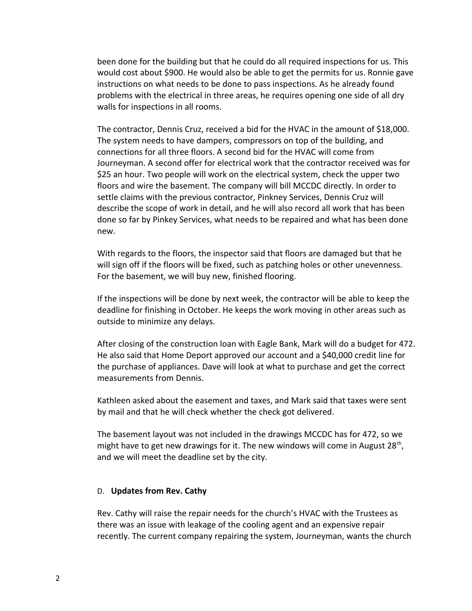been done for the building but that he could do all required inspections for us. This would cost about \$900. He would also be able to get the permits for us. Ronnie gave instructions on what needs to be done to pass inspections. As he already found problems with the electrical in three areas, he requires opening one side of all dry walls for inspections in all rooms.

The contractor, Dennis Cruz, received a bid for the HVAC in the amount of \$18,000. The system needs to have dampers, compressors on top of the building, and connections for all three floors. A second bid for the HVAC will come from Journeyman. A second offer for electrical work that the contractor received was for \$25 an hour. Two people will work on the electrical system, check the upper two floors and wire the basement. The company will bill MCCDC directly. In order to settle claims with the previous contractor, Pinkney Services, Dennis Cruz will describe the scope of work in detail, and he will also record all work that has been done so far by Pinkey Services, what needs to be repaired and what has been done new.

With regards to the floors, the inspector said that floors are damaged but that he will sign off if the floors will be fixed, such as patching holes or other unevenness. For the basement, we will buy new, finished flooring.

If the inspections will be done by next week, the contractor will be able to keep the deadline for finishing in October. He keeps the work moving in other areas such as outside to minimize any delays.

After closing of the construction loan with Eagle Bank, Mark will do a budget for 472. He also said that Home Deport approved our account and a \$40,000 credit line for the purchase of appliances. Dave will look at what to purchase and get the correct measurements from Dennis.

Kathleen asked about the easement and taxes, and Mark said that taxes were sent by mail and that he will check whether the check got delivered.

The basement layout was not included in the drawings MCCDC has for 472, so we might have to get new drawings for it. The new windows will come in August 28<sup>th</sup>, and we will meet the deadline set by the city.

#### D. **Updates from Rev. Cathy**

Rev. Cathy will raise the repair needs for the church's HVAC with the Trustees as there was an issue with leakage of the cooling agent and an expensive repair recently. The current company repairing the system, Journeyman, wants the church